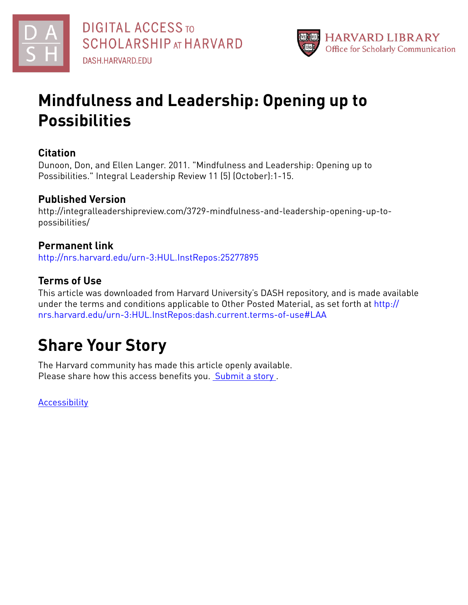



## **Mindfulness and Leadership: Opening up to Possibilities**

#### **Citation**

Dunoon, Don, and Ellen Langer. 2011. "Mindfulness and Leadership: Opening up to Possibilities." Integral Leadership Review 11 (5) (October):1-15.

#### **Published Version**

http://integralleadershipreview.com/3729-mindfulness-and-leadership-opening-up-topossibilities/

#### **Permanent link**

<http://nrs.harvard.edu/urn-3:HUL.InstRepos:25277895>

#### **Terms of Use**

This article was downloaded from Harvard University's DASH repository, and is made available under the terms and conditions applicable to Other Posted Material, as set forth at [http://](http://nrs.harvard.edu/urn-3:HUL.InstRepos:dash.current.terms-of-use#LAA) [nrs.harvard.edu/urn-3:HUL.InstRepos:dash.current.terms-of-use#LAA](http://nrs.harvard.edu/urn-3:HUL.InstRepos:dash.current.terms-of-use#LAA)

# **Share Your Story**

The Harvard community has made this article openly available. Please share how this access benefits you. [Submit](http://osc.hul.harvard.edu/dash/open-access-feedback?handle=&title=Mindfulness%20and%20Leadership:%20Opening%20up%20to%20Possibilities&community=1/1&collection=1/2&owningCollection1/2&harvardAuthors=9578a0840feac7fa7cb52b79caaff447&departmentPsychology) a story .

**[Accessibility](https://dash.harvard.edu/pages/accessibility)**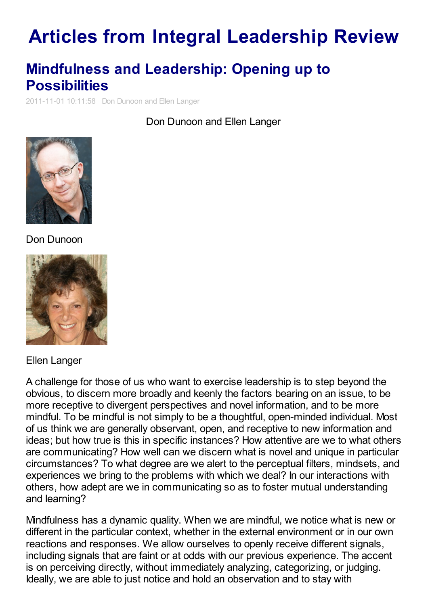# **Articles from Integral [Leadership](http://integralleadershipreview.com) Review**

## **[Mindfulness](http://integralleadershipreview.com/3729-mindfulness-and-leadership-opening-up-to-possibilities) and Leadership: Opening up to Possibilities**

2011-11-01 10:11:58 Don Dunoon and Ellen Langer

Don Dunoon and Ellen Langer



Don Dunoon



Ellen Langer

A challenge for those of us who want to exercise leadership is to step beyond the obvious, to discern more broadly and keenly the factors bearing on an issue, to be more receptive to divergent perspectives and novel information, and to be more mindful. To be mindful is not simply to be a thoughtful, open-minded individual. Most of us think we are generally observant, open, and receptive to new information and ideas; but how true is this in specific instances? How attentive are we to what others are communicating? How well can we discern what is novel and unique in particular circumstances? To what degree are we alert to the perceptual filters, mindsets, and experiences we bring to the problems with which we deal? In our interactions with others, how adept are we in communicating so as to foster mutual understanding and learning?

Mindfulness has a dynamic quality. When we are mindful, we notice what is new or different in the particular context, whether in the external environment or in our own reactions and responses. We allow ourselves to openly receive different signals, including signals that are faint or at odds with our previous experience. The accent is on perceiving directly, without immediately analyzing, categorizing, or judging. Ideally, we are able to just notice and hold an observation and to stay with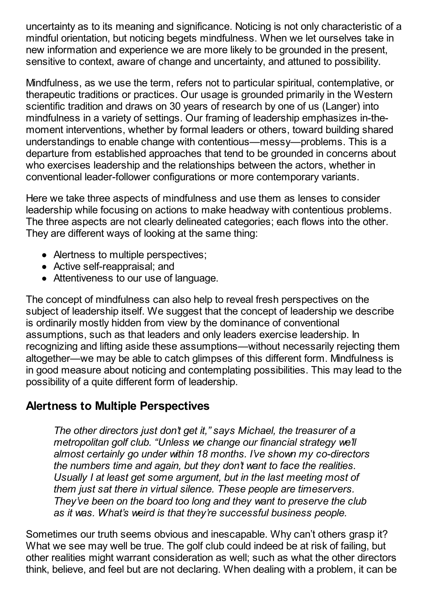uncertainty as to its meaning and significance. Noticing is not only characteristic of a mindful orientation, but noticing begets mindfulness. When we let ourselves take in new information and experience we are more likely to be grounded in the present, sensitive to context, aware of change and uncertainty, and attuned to possibility.

Mindfulness, as we use the term, refers not to particular spiritual, contemplative, or therapeutic traditions or practices. Our usage is grounded primarily in the Western scientific tradition and draws on 30 years of research by one of us (Langer) into mindfulness in a variety of settings. Our framing of leadership emphasizes in-themoment interventions, whether by formal leaders or others, toward building shared understandings to enable change with contentious—messy—problems. This is a departure from established approaches that tend to be grounded in concerns about who exercises leadership and the relationships between the actors, whether in conventional leader-follower configurations or more contemporary variants.

Here we take three aspects of mindfulness and use them as lenses to consider leadership while focusing on actions to make headway with contentious problems. The three aspects are not clearly delineated categories; each flows into the other. They are different ways of looking at the same thing:

- Alertness to multiple perspectives;
- Active self-reappraisal; and
- Attentiveness to our use of language.

The concept of mindfulness can also help to reveal fresh perspectives on the subject of leadership itself. We suggest that the concept of leadership we describe is ordinarily mostly hidden from view by the dominance of conventional assumptions, such as that leaders and only leaders exercise leadership. In recognizing and lifting aside these assumptions—without necessarily rejecting them altogether—we may be able to catch glimpses of this different form. Mindfulness is in good measure about noticing and contemplating possibilities. This may lead to the possibility of a quite different form of leadership.

## **Alertness to Multiple Perspectives**

*The other directors just don't get it," says Michael, the treasurer of a metropolitan golf club. "Unless we change our financial strategy we'll almost certainly go under within 18 months. I've shown my co-directors the numbers time and again, but they don't want to face the realities. Usually I at least get some argument, but in the last meeting most of them just sat there in virtual silence. These people are timeservers. They've been on the board too long and they want to preserve the club as it was. What's weird is that they're successful business people.*

Sometimes our truth seems obvious and inescapable. Why can't others grasp it? What we see may well be true. The golf club could indeed be at risk of failing, but other realities might warrant consideration as well; such as what the other directors think, believe, and feel but are not declaring. When dealing with a problem, it can be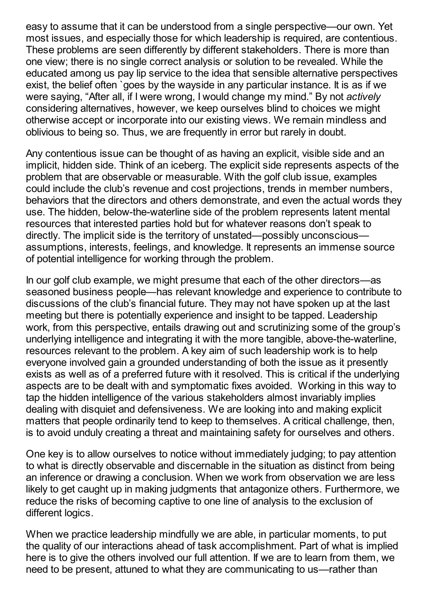easy to assume that it can be understood from a single perspective—our own. Yet most issues, and especially those for which leadership is required, are contentious. These problems are seen differently by different stakeholders. There is more than one view; there is no single correct analysis or solution to be revealed. While the educated among us pay lip service to the idea that sensible alternative perspectives exist, the belief often `goes by the wayside in any particular instance. It is as if we were saying, "After all, if I were wrong, I would change my mind." By not *actively* considering alternatives, however, we keep ourselves blind to choices we might otherwise accept or incorporate into our existing views. We remain mindless and oblivious to being so. Thus, we are frequently in error but rarely in doubt.

Any contentious issue can be thought of as having an explicit, visible side and an implicit, hidden side. Think of an iceberg. The explicit side represents aspects of the problem that are observable or measurable. With the golf club issue, examples could include the club's revenue and cost projections, trends in member numbers, behaviors that the directors and others demonstrate, and even the actual words they use. The hidden, below-the-waterline side of the problem represents latent mental resources that interested parties hold but for whatever reasons don't speak to directly. The implicit side is the territory of unstated—possibly unconscious assumptions, interests, feelings, and knowledge. It represents an immense source of potential intelligence for working through the problem.

In our golf club example, we might presume that each of the other directors—as seasoned business people—has relevant knowledge and experience to contribute to discussions of the club's financial future. They may not have spoken up at the last meeting but there is potentially experience and insight to be tapped. Leadership work, from this perspective, entails drawing out and scrutinizing some of the group's underlying intelligence and integrating it with the more tangible, above-the-waterline, resources relevant to the problem. A key aim of such leadership work is to help everyone involved gain a grounded understanding of both the issue as it presently exists as well as of a preferred future with it resolved. This is critical if the underlying aspects are to be dealt with and symptomatic fixes avoided. Working in this way to tap the hidden intelligence of the various stakeholders almost invariably implies dealing with disquiet and defensiveness. We are looking into and making explicit matters that people ordinarily tend to keep to themselves. A critical challenge, then, is to avoid unduly creating a threat and maintaining safety for ourselves and others.

One key is to allow ourselves to notice without immediately judging; to pay attention to what is directly observable and discernable in the situation as distinct from being an inference or drawing a conclusion. When we work from observation we are less likely to get caught up in making judgments that antagonize others. Furthermore, we reduce the risks of becoming captive to one line of analysis to the exclusion of different logics.

When we practice leadership mindfully we are able, in particular moments, to put the quality of our interactions ahead of task accomplishment. Part of what is implied here is to give the others involved our full attention. If we are to learn from them, we need to be present, attuned to what they are communicating to us—rather than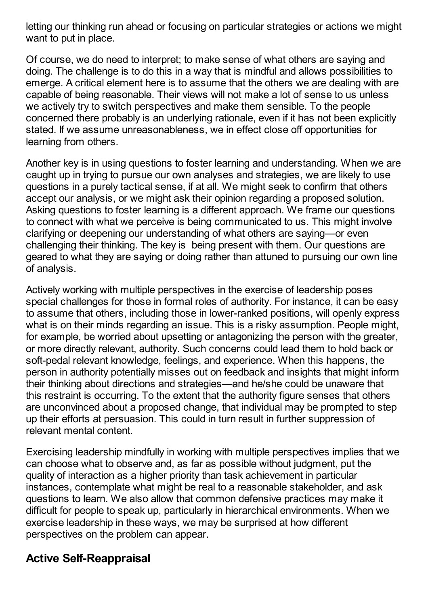letting our thinking run ahead or focusing on particular strategies or actions we might want to put in place.

Of course, we do need to interpret; to make sense of what others are saying and doing. The challenge is to do this in a way that is mindful and allows possibilities to emerge. A critical element here is to assume that the others we are dealing with are capable of being reasonable. Their views will not make a lot of sense to us unless we actively try to switch perspectives and make them sensible. To the people concerned there probably is an underlying rationale, even if it has not been explicitly stated. If we assume unreasonableness, we in effect close off opportunities for learning from others.

Another key is in using questions to foster learning and understanding. When we are caught up in trying to pursue our own analyses and strategies, we are likely to use questions in a purely tactical sense, if at all. We might seek to confirm that others accept our analysis, or we might ask their opinion regarding a proposed solution. Asking questions to foster learning is a different approach. We frame our questions to connect with what we perceive is being communicated to us. This might involve clarifying or deepening our understanding of what others are saying—or even challenging their thinking. The key is being present with them. Our questions are geared to what they are saying or doing rather than attuned to pursuing our own line of analysis.

Actively working with multiple perspectives in the exercise of leadership poses special challenges for those in formal roles of authority. For instance, it can be easy to assume that others, including those in lower-ranked positions, will openly express what is on their minds regarding an issue. This is a risky assumption. People might, for example, be worried about upsetting or antagonizing the person with the greater, or more directly relevant, authority. Such concerns could lead them to hold back or soft-pedal relevant knowledge, feelings, and experience. When this happens, the person in authority potentially misses out on feedback and insights that might inform their thinking about directions and strategies—and he/she could be unaware that this restraint is occurring. To the extent that the authority figure senses that others are unconvinced about a proposed change, that individual may be prompted to step up their efforts at persuasion. This could in turn result in further suppression of relevant mental content.

Exercising leadership mindfully in working with multiple perspectives implies that we can choose what to observe and, as far as possible without judgment, put the quality of interaction as a higher priority than task achievement in particular instances, contemplate what might be real to a reasonable stakeholder, and ask questions to learn. We also allow that common defensive practices may make it difficult for people to speak up, particularly in hierarchical environments. When we exercise leadership in these ways, we may be surprised at how different perspectives on the problem can appear.

#### **Active Self-Reappraisal**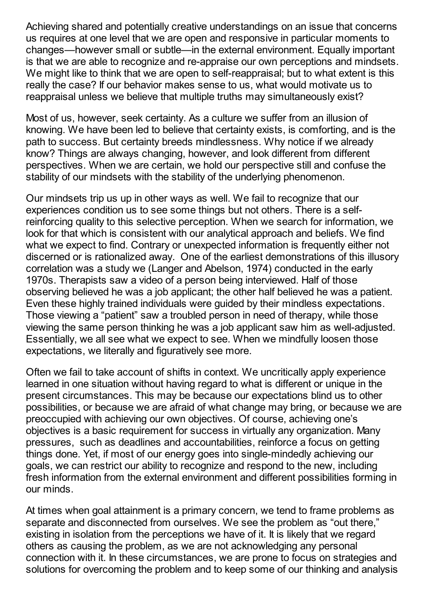Achieving shared and potentially creative understandings on an issue that concerns us requires at one level that we are open and responsive in particular moments to changes—however small or subtle—in the external environment. Equally important is that we are able to recognize and re-appraise our own perceptions and mindsets. We might like to think that we are open to self-reappraisal; but to what extent is this really the case? If our behavior makes sense to us, what would motivate us to reappraisal unless we believe that multiple truths may simultaneously exist?

Most of us, however, seek certainty. As a culture we suffer from an illusion of knowing. We have been led to believe that certainty exists, is comforting, and is the path to success. But certainty breeds mindlessness. Why notice if we already know? Things are always changing, however, and look different from different perspectives. When we are certain, we hold our perspective still and confuse the stability of our mindsets with the stability of the underlying phenomenon.

Our mindsets trip us up in other ways as well. We fail to recognize that our experiences condition us to see some things but not others. There is a selfreinforcing quality to this selective perception. When we search for information, we look for that which is consistent with our analytical approach and beliefs. We find what we expect to find. Contrary or unexpected information is frequently either not discerned or is rationalized away. One of the earliest demonstrations of this illusory correlation was a study we (Langer and Abelson, 1974) conducted in the early 1970s. Therapists saw a video of a person being interviewed. Half of those observing believed he was a job applicant; the other half believed he was a patient. Even these highly trained individuals were guided by their mindless expectations. Those viewing a "patient" saw a troubled person in need of therapy, while those viewing the same person thinking he was a job applicant saw him as well-adjusted. Essentially, we all see what we expect to see. When we mindfully loosen those expectations, we literally and figuratively see more.

Often we fail to take account of shifts in context. We uncritically apply experience learned in one situation without having regard to what is different or unique in the present circumstances. This may be because our expectations blind us to other possibilities, or because we are afraid of what change may bring, or because we are preoccupied with achieving our own objectives. Of course, achieving one's objectives is a basic requirement for success in virtually any organization. Many pressures, such as deadlines and accountabilities, reinforce a focus on getting things done. Yet, if most of our energy goes into single-mindedly achieving our goals, we can restrict our ability to recognize and respond to the new, including fresh information from the external environment and different possibilities forming in our minds.

At times when goal attainment is a primary concern, we tend to frame problems as separate and disconnected from ourselves. We see the problem as "out there," existing in isolation from the perceptions we have of it. It is likely that we regard others as causing the problem, as we are not acknowledging any personal connection with it. In these circumstances, we are prone to focus on strategies and solutions for overcoming the problem and to keep some of our thinking and analysis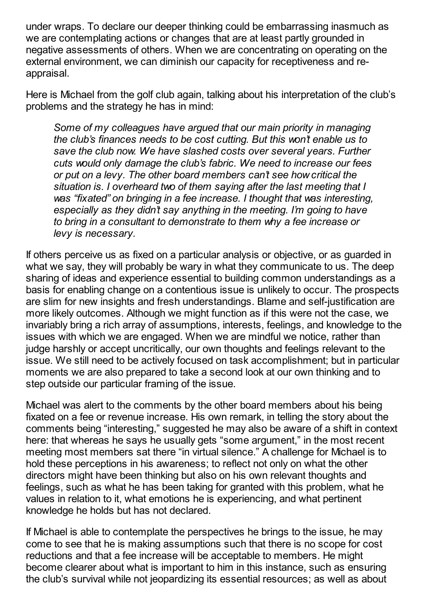under wraps. To declare our deeper thinking could be embarrassing inasmuch as we are contemplating actions or changes that are at least partly grounded in negative assessments of others. When we are concentrating on operating on the external environment, we can diminish our capacity for receptiveness and reappraisal.

Here is Michael from the golf club again, talking about his interpretation of the club's problems and the strategy he has in mind:

*Some of my colleagues have argued that our main priority in managing the club's finances needs to be cost cutting. But this won't enable us to save the club now. We have slashed costs over several years. Further cuts would only damage the club's fabric. We need to increase our fees or put on a levy. The other board members can't see how critical the situation is. I overheard two of them saying after the last meeting that I was "fixated" on bringing in a fee increase. I thought that was interesting, especially as they didn't say anything in the meeting. I'm going to have to bring in a consultant to demonstrate to them why a fee increase or levy is necessary.*

If others perceive us as fixed on a particular analysis or objective, or as guarded in what we say, they will probably be wary in what they communicate to us. The deep sharing of ideas and experience essential to building common understandings as a basis for enabling change on a contentious issue is unlikely to occur. The prospects are slim for new insights and fresh understandings. Blame and self-justification are more likely outcomes. Although we might function as if this were not the case, we invariably bring a rich array of assumptions, interests, feelings, and knowledge to the issues with which we are engaged. When we are mindful we notice, rather than judge harshly or accept uncritically, our own thoughts and feelings relevant to the issue. We still need to be actively focused on task accomplishment; but in particular moments we are also prepared to take a second look at our own thinking and to step outside our particular framing of the issue.

Michael was alert to the comments by the other board members about his being fixated on a fee or revenue increase. His own remark, in telling the story about the comments being "interesting," suggested he may also be aware of a shift in context here: that whereas he says he usually gets "some argument," in the most recent meeting most members sat there "in virtual silence." A challenge for Michael is to hold these perceptions in his awareness; to reflect not only on what the other directors might have been thinking but also on his own relevant thoughts and feelings, such as what he has been taking for granted with this problem, what he values in relation to it, what emotions he is experiencing, and what pertinent knowledge he holds but has not declared.

If Michael is able to contemplate the perspectives he brings to the issue, he may come to see that he is making assumptions such that there is no scope for cost reductions and that a fee increase will be acceptable to members. He might become clearer about what is important to him in this instance, such as ensuring the club's survival while not jeopardizing its essential resources; as well as about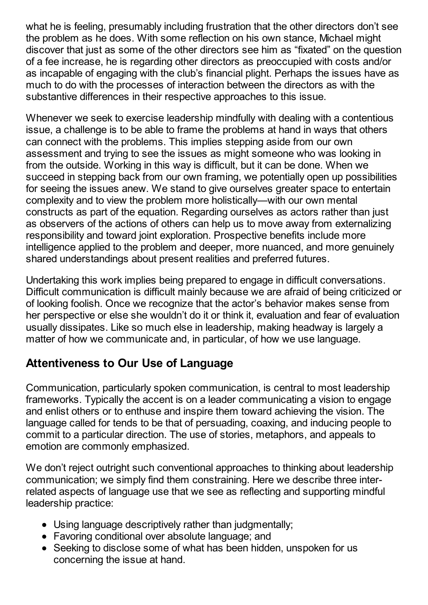what he is feeling, presumably including frustration that the other directors don't see the problem as he does. With some reflection on his own stance, Michael might discover that just as some of the other directors see him as "fixated" on the question of a fee increase, he is regarding other directors as preoccupied with costs and/or as incapable of engaging with the club's financial plight. Perhaps the issues have as much to do with the processes of interaction between the directors as with the substantive differences in their respective approaches to this issue.

Whenever we seek to exercise leadership mindfully with dealing with a contentious issue, a challenge is to be able to frame the problems at hand in ways that others can connect with the problems. This implies stepping aside from our own assessment and trying to see the issues as might someone who was looking in from the outside. Working in this way is difficult, but it can be done. When we succeed in stepping back from our own framing, we potentially open up possibilities for seeing the issues anew. We stand to give ourselves greater space to entertain complexity and to view the problem more holistically—with our own mental constructs as part of the equation. Regarding ourselves as actors rather than just as observers of the actions of others can help us to move away from externalizing responsibility and toward joint exploration. Prospective benefits include more intelligence applied to the problem and deeper, more nuanced, and more genuinely shared understandings about present realities and preferred futures.

Undertaking this work implies being prepared to engage in difficult conversations. Difficult communication is difficult mainly because we are afraid of being criticized or of looking foolish. Once we recognize that the actor's behavior makes sense from her perspective or else she wouldn't do it or think it, evaluation and fear of evaluation usually dissipates. Like so much else in leadership, making headway is largely a matter of how we communicate and, in particular, of how we use language.

## **Attentiveness to Our Use of Language**

Communication, particularly spoken communication, is central to most leadership frameworks. Typically the accent is on a leader communicating a vision to engage and enlist others or to enthuse and inspire them toward achieving the vision. The language called for tends to be that of persuading, coaxing, and inducing people to commit to a particular direction. The use of stories, metaphors, and appeals to emotion are commonly emphasized.

We don't reject outright such conventional approaches to thinking about leadership communication; we simply find them constraining. Here we describe three interrelated aspects of language use that we see as reflecting and supporting mindful leadership practice:

- Using language descriptively rather than judgmentally;
- Favoring conditional over absolute language; and
- Seeking to disclose some of what has been hidden, unspoken for us concerning the issue at hand.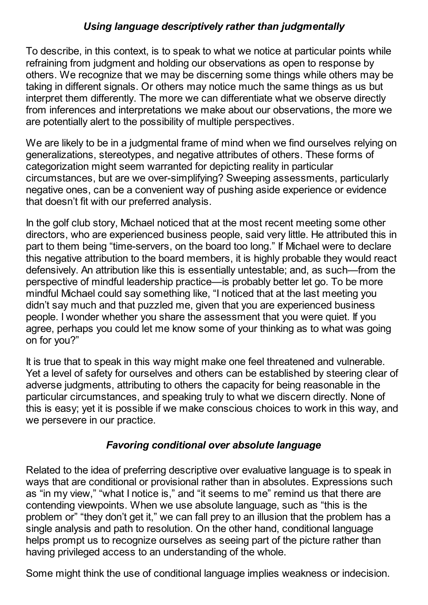#### *Using language descriptively rather than judgmentally*

To describe, in this context, is to speak to what we notice at particular points while refraining from judgment and holding our observations as open to response by others. We recognize that we may be discerning some things while others may be taking in different signals. Or others may notice much the same things as us but interpret them differently. The more we can differentiate what we observe directly from inferences and interpretations we make about our observations, the more we are potentially alert to the possibility of multiple perspectives.

We are likely to be in a judgmental frame of mind when we find ourselves relying on generalizations, stereotypes, and negative attributes of others. These forms of categorization might seem warranted for depicting reality in particular circumstances, but are we over-simplifying? Sweeping assessments, particularly negative ones, can be a convenient way of pushing aside experience or evidence that doesn't fit with our preferred analysis.

In the golf club story, Michael noticed that at the most recent meeting some other directors, who are experienced business people, said very little. He attributed this in part to them being "time-servers, on the board too long." If Michael were to declare this negative attribution to the board members, it is highly probable they would react defensively. An attribution like this is essentially untestable; and, as such—from the perspective of mindful leadership practice—is probably better let go. To be more mindful Michael could say something like, "I noticed that at the last meeting you didn't say much and that puzzled me, given that you are experienced business people. I wonder whether you share the assessment that you were quiet. If you agree, perhaps you could let me know some of your thinking as to what was going on for you?"

It is true that to speak in this way might make one feel threatened and vulnerable. Yet a level of safety for ourselves and others can be established by steering clear of adverse judgments, attributing to others the capacity for being reasonable in the particular circumstances, and speaking truly to what we discern directly. None of this is easy; yet it is possible if we make conscious choices to work in this way, and we persevere in our practice.

#### *Favoring conditional over absolute language*

Related to the idea of preferring descriptive over evaluative language is to speak in ways that are conditional or provisional rather than in absolutes. Expressions such as "in my view," "what I notice is," and "it seems to me" remind us that there are contending viewpoints. When we use absolute language, such as "this is the problem or" "they don't get it," we can fall prey to an illusion that the problem has a single analysis and path to resolution. On the other hand, conditional language helps prompt us to recognize ourselves as seeing part of the picture rather than having privileged access to an understanding of the whole.

Some might think the use of conditional language implies weakness or indecision.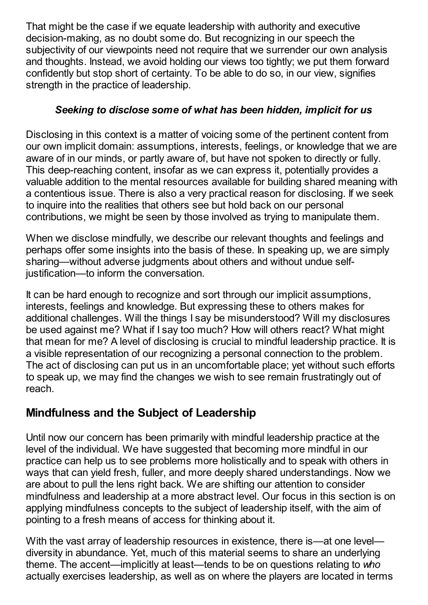That might be the case if we equate leadership with authority and executive decision-making, as no doubt some do. But recognizing in our speech the subjectivity of our viewpoints need not require that we surrender our own analysis and thoughts. Instead, we avoid holding our views too tightly; we put them forward confidently but stop short of certainty. To be able to do so, in our view, signifies strength in the practice of leadership.

#### *Seeking to disclose some of what has been hidden, implicit for us*

Disclosing in this context is a matter of voicing some of the pertinent content from our own implicit domain: assumptions, interests, feelings, or knowledge that we are aware of in our minds, or partly aware of, but have not spoken to directly or fully. This deep-reaching content, insofar as we can express it, potentially provides a valuable addition to the mental resources available for building shared meaning with a contentious issue. There is also a very practical reason for disclosing. If we seek to inquire into the realities that others see but hold back on our personal contributions, we might be seen by those involved as trying to manipulate them.

When we disclose mindfully, we describe our relevant thoughts and feelings and perhaps offer some insights into the basis of these. In speaking up, we are simply sharing—without adverse judgments about others and without undue selfjustification—to inform the conversation.

It can be hard enough to recognize and sort through our implicit assumptions, interests, feelings and knowledge. But expressing these to others makes for additional challenges. Will the things I say be misunderstood? Will my disclosures be used against me? What if I say too much? How will others react? What might that mean for me? A level of disclosing is crucial to mindful leadership practice. It is a visible representation of our recognizing a personal connection to the problem. The act of disclosing can put us in an uncomfortable place; yet without such efforts to speak up, we may find the changes we wish to see remain frustratingly out of reach.

## **Mindfulness and the Subject of Leadership**

Until now our concern has been primarily with mindful leadership practice at the level of the individual. We have suggested that becoming more mindful in our practice can help us to see problems more holistically and to speak with others in ways that can yield fresh, fuller, and more deeply shared understandings. Now we are about to pull the lens right back. We are shifting our attention to consider mindfulness and leadership at a more abstract level. Our focus in this section is on applying mindfulness concepts to the subject of leadership itself, with the aim of pointing to a fresh means of access for thinking about it.

With the vast array of leadership resources in existence, there is—at one level diversity in abundance. Yet, much of this material seems to share an underlying theme. The accent—implicitly at least—tends to be on questions relating to *who* actually exercises leadership, as well as on where the players are located in terms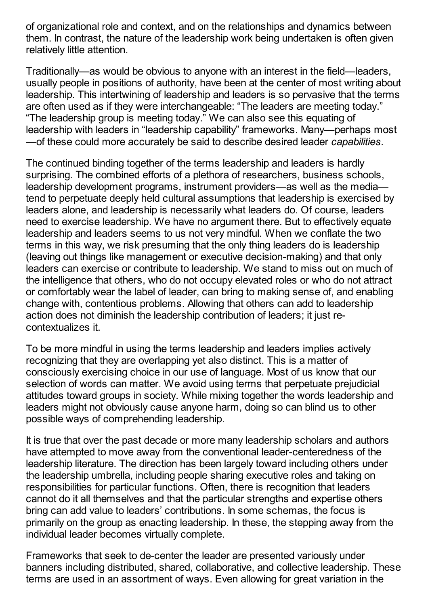of organizational role and context, and on the relationships and dynamics between them. In contrast, the nature of the leadership work being undertaken is often given relatively little attention.

Traditionally—as would be obvious to anyone with an interest in the field—leaders, usually people in positions of authority, have been at the center of most writing about leadership. This intertwining of leadership and leaders is so pervasive that the terms are often used as if they were interchangeable: "The leaders are meeting today." "The leadership group is meeting today." We can also see this equating of leadership with leaders in "leadership capability" frameworks. Many—perhaps most —of these could more accurately be said to describe desired leader *capabilities*.

The continued binding together of the terms leadership and leaders is hardly surprising. The combined efforts of a plethora of researchers, business schools, leadership development programs, instrument providers—as well as the media tend to perpetuate deeply held cultural assumptions that leadership is exercised by leaders alone, and leadership is necessarily what leaders do. Of course, leaders need to exercise leadership. We have no argument there. But to effectively equate leadership and leaders seems to us not very mindful. When we conflate the two terms in this way, we risk presuming that the only thing leaders do is leadership (leaving out things like management or executive decision-making) and that only leaders can exercise or contribute to leadership. We stand to miss out on much of the intelligence that others, who do not occupy elevated roles or who do not attract or comfortably wear the label of leader, can bring to making sense of, and enabling change with, contentious problems. Allowing that others can add to leadership action does not diminish the leadership contribution of leaders; it just recontextualizes it.

To be more mindful in using the terms leadership and leaders implies actively recognizing that they are overlapping yet also distinct. This is a matter of consciously exercising choice in our use of language. Most of us know that our selection of words can matter. We avoid using terms that perpetuate prejudicial attitudes toward groups in society. While mixing together the words leadership and leaders might not obviously cause anyone harm, doing so can blind us to other possible ways of comprehending leadership.

It is true that over the past decade or more many leadership scholars and authors have attempted to move away from the conventional leader-centeredness of the leadership literature. The direction has been largely toward including others under the leadership umbrella, including people sharing executive roles and taking on responsibilities for particular functions. Often, there is recognition that leaders cannot do it all themselves and that the particular strengths and expertise others bring can add value to leaders' contributions. In some schemas, the focus is primarily on the group as enacting leadership. In these, the stepping away from the individual leader becomes virtually complete.

Frameworks that seek to de-center the leader are presented variously under banners including distributed, shared, collaborative, and collective leadership. These terms are used in an assortment of ways. Even allowing for great variation in the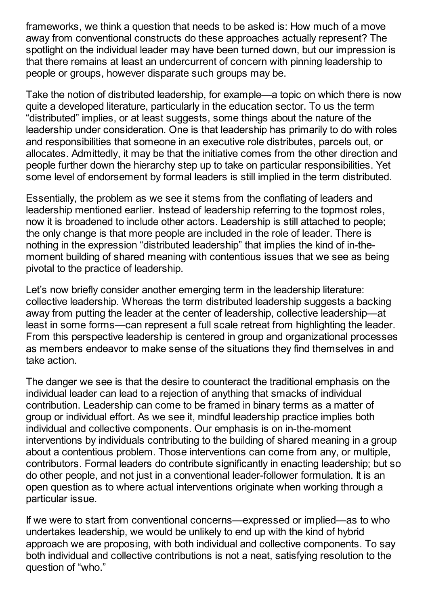frameworks, we think a question that needs to be asked is: How much of a move away from conventional constructs do these approaches actually represent? The spotlight on the individual leader may have been turned down, but our impression is that there remains at least an undercurrent of concern with pinning leadership to people or groups, however disparate such groups may be.

Take the notion of distributed leadership, for example—a topic on which there is now quite a developed literature, particularly in the education sector. To us the term "distributed" implies, or at least suggests, some things about the nature of the leadership under consideration. One is that leadership has primarily to do with roles and responsibilities that someone in an executive role distributes, parcels out, or allocates. Admittedly, it may be that the initiative comes from the other direction and people further down the hierarchy step up to take on particular responsibilities. Yet some level of endorsement by formal leaders is still implied in the term distributed.

Essentially, the problem as we see it stems from the conflating of leaders and leadership mentioned earlier. Instead of leadership referring to the topmost roles, now it is broadened to include other actors. Leadership is still attached to people; the only change is that more people are included in the role of leader. There is nothing in the expression "distributed leadership" that implies the kind of in-themoment building of shared meaning with contentious issues that we see as being pivotal to the practice of leadership.

Let's now briefly consider another emerging term in the leadership literature: collective leadership. Whereas the term distributed leadership suggests a backing away from putting the leader at the center of leadership, collective leadership—at least in some forms—can represent a full scale retreat from highlighting the leader. From this perspective leadership is centered in group and organizational processes as members endeavor to make sense of the situations they find themselves in and take action.

The danger we see is that the desire to counteract the traditional emphasis on the individual leader can lead to a rejection of anything that smacks of individual contribution. Leadership can come to be framed in binary terms as a matter of group or individual effort. As we see it, mindful leadership practice implies both individual and collective components. Our emphasis is on in-the-moment interventions by individuals contributing to the building of shared meaning in a group about a contentious problem. Those interventions can come from any, or multiple, contributors. Formal leaders do contribute significantly in enacting leadership; but so do other people, and not just in a conventional leader-follower formulation. It is an open question as to where actual interventions originate when working through a particular issue.

If we were to start from conventional concerns—expressed or implied—as to who undertakes leadership, we would be unlikely to end up with the kind of hybrid approach we are proposing, with both individual and collective components. To say both individual and collective contributions is not a neat, satisfying resolution to the question of "who."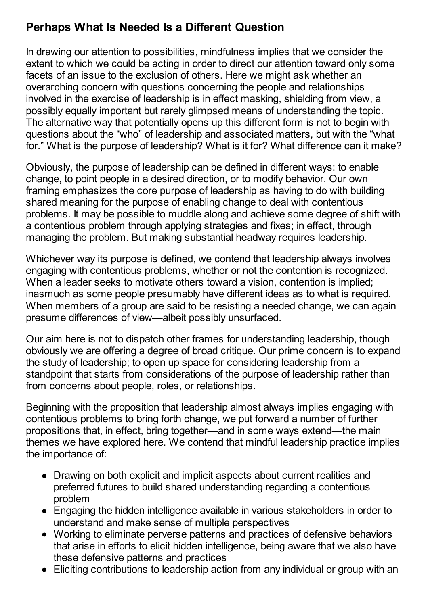## **Perhaps What Is Needed Is a Different Question**

In drawing our attention to possibilities, mindfulness implies that we consider the extent to which we could be acting in order to direct our attention toward only some facets of an issue to the exclusion of others. Here we might ask whether an overarching concern with questions concerning the people and relationships involved in the exercise of leadership is in effect masking, shielding from view, a possibly equally important but rarely glimpsed means of understanding the topic. The alternative way that potentially opens up this different form is not to begin with questions about the "who" of leadership and associated matters, but with the "what for." What is the purpose of leadership? What is it for? What difference can it make?

Obviously, the purpose of leadership can be defined in different ways: to enable change, to point people in a desired direction, or to modify behavior. Our own framing emphasizes the core purpose of leadership as having to do with building shared meaning for the purpose of enabling change to deal with contentious problems. It may be possible to muddle along and achieve some degree of shift with a contentious problem through applying strategies and fixes; in effect, through managing the problem. But making substantial headway requires leadership.

Whichever way its purpose is defined, we contend that leadership always involves engaging with contentious problems, whether or not the contention is recognized. When a leader seeks to motivate others toward a vision, contention is implied; inasmuch as some people presumably have different ideas as to what is required. When members of a group are said to be resisting a needed change, we can again presume differences of view—albeit possibly unsurfaced.

Our aim here is not to dispatch other frames for understanding leadership, though obviously we are offering a degree of broad critique. Our prime concern is to expand the study of leadership; to open up space for considering leadership from a standpoint that starts from considerations of the purpose of leadership rather than from concerns about people, roles, or relationships.

Beginning with the proposition that leadership almost always implies engaging with contentious problems to bring forth change, we put forward a number of further propositions that, in effect, bring together—and in some ways extend—the main themes we have explored here. We contend that mindful leadership practice implies the importance of:

- Drawing on both explicit and implicit aspects about current realities and preferred futures to build shared understanding regarding a contentious problem
- Engaging the hidden intelligence available in various stakeholders in order to understand and make sense of multiple perspectives
- Working to eliminate perverse patterns and practices of defensive behaviors that arise in efforts to elicit hidden intelligence, being aware that we also have these defensive patterns and practices
- Eliciting contributions to leadership action from any individual or group with an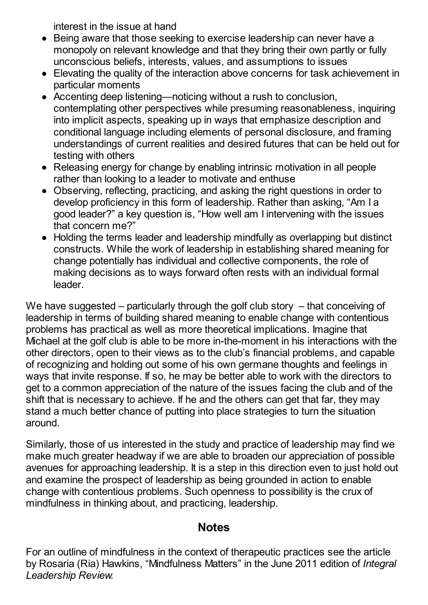interest in the issue at hand

- Being aware that those seeking to exercise leadership can never have a monopoly on relevant knowledge and that they bring their own partly or fully unconscious beliefs, interests, values, and assumptions to issues
- Elevating the quality of the interaction above concerns for task achievement in particular moments
- Accenting deep listening—noticing without a rush to conclusion, contemplating other perspectives while presuming reasonableness, inquiring into implicit aspects, speaking up in ways that emphasize description and conditional language including elements of personal disclosure, and framing understandings of current realities and desired futures that can be held out for testing with others
- Releasing energy for change by enabling intrinsic motivation in all people rather than looking to a leader to motivate and enthuse
- Observing, reflecting, practicing, and asking the right questions in order to develop proficiency in this form of leadership. Rather than asking, "Am I a good leader?" a key question is, "How well am I intervening with the issues that concern me?"
- Holding the terms leader and leadership mindfully as overlapping but distinct constructs. While the work of leadership in establishing shared meaning for change potentially has individual and collective components, the role of making decisions as to ways forward often rests with an individual formal leader.

We have suggested – particularly through the golf club story – that conceiving of leadership in terms of building shared meaning to enable change with contentious problems has practical as well as more theoretical implications. Imagine that Michael at the golf club is able to be more in-the-moment in his interactions with the other directors, open to their views as to the club's financial problems, and capable of recognizing and holding out some of his own germane thoughts and feelings in ways that invite response. If so, he may be better able to work with the directors to get to a common appreciation of the nature of the issues facing the club and of the shift that is necessary to achieve. If he and the others can get that far, they may stand a much better chance of putting into place strategies to turn the situation around.

Similarly, those of us interested in the study and practice of leadership may find we make much greater headway if we are able to broaden our appreciation of possible avenues for approaching leadership. It is a step in this direction even to just hold out and examine the prospect of leadership as being grounded in action to enable change with contentious problems. Such openness to possibility is the crux of mindfulness in thinking about, and practicing, leadership.

#### **Notes**

For an outline of mindfulness in the context of therapeutic practices see the article by Rosaria (Ria) Hawkins, "Mindfulness Matters" in the June 2011 edition of *Integral Leadership Review.*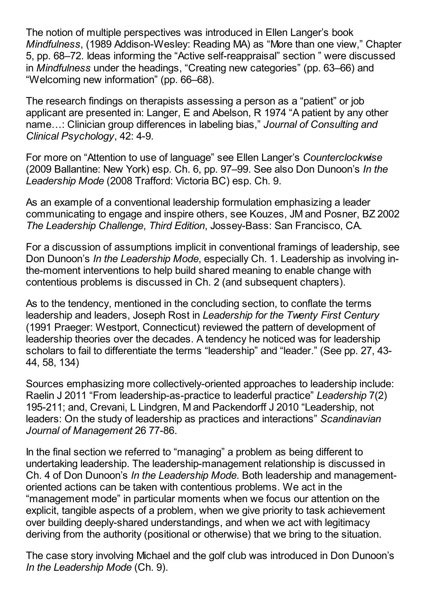The notion of multiple perspectives was introduced in Ellen Langer's book *Mindfulness*, (1989 Addison-Wesley: Reading MA) as "More than one view," Chapter 5, pp. 68–72. Ideas informing the "Active self-reappraisal" section " were discussed in *Mindfulness* under the headings, "Creating new categories" (pp. 63–66) and "Welcoming new information" (pp. 66–68).

The research findings on therapists assessing a person as a "patient" or job applicant are presented in: Langer, E and Abelson, R 1974 "A patient by any other name…: Clinician group differences in labeling bias," *Journal of Consulting and Clinical Psychology*, 42: 4-9.

For more on "Attention to use of language" see Ellen Langer's *Counterclockwise* (2009 Ballantine: New York) esp. Ch. 6, pp. 97–99. See also Don Dunoon's *In the Leadership Mode* (2008 Trafford: Victoria BC) esp. Ch. 9.

As an example of a conventional leadership formulation emphasizing a leader communicating to engage and inspire others, see Kouzes, JM and Posner, BZ 2002 *The Leadership Challenge*, *Third Edition*, Jossey-Bass: San Francisco, CA.

For a discussion of assumptions implicit in conventional framings of leadership, see Don Dunoon's *In the Leadership Mode*, especially Ch. 1. Leadership as involving inthe-moment interventions to help build shared meaning to enable change with contentious problems is discussed in Ch. 2 (and subsequent chapters).

As to the tendency, mentioned in the concluding section, to conflate the terms leadership and leaders, Joseph Rost in *Leadership for the Twenty First Century* (1991 Praeger: Westport, Connecticut) reviewed the pattern of development of leadership theories over the decades. A tendency he noticed was for leadership scholars to fail to differentiate the terms "leadership" and "leader." (See pp. 27, 43- 44, 58, 134)

Sources emphasizing more collectively-oriented approaches to leadership include: Raelin J 2011 "From leadership-as-practice to leaderful practice" *Leadership* 7(2) 195-211; and, Crevani, L Lindgren, M and Packendorff J 2010 "Leadership, not leaders: On the study of leadership as practices and interactions" *Scandinavian Journal of Management* 26 77-86.

In the final section we referred to "managing" a problem as being different to undertaking leadership. The leadership-management relationship is discussed in Ch. 4 of Don Dunoon's *In the Leadership Mode*. Both leadership and managementoriented actions can be taken with contentious problems. We act in the "management mode" in particular moments when we focus our attention on the explicit, tangible aspects of a problem, when we give priority to task achievement over building deeply-shared understandings, and when we act with legitimacy deriving from the authority (positional or otherwise) that we bring to the situation.

The case story involving Michael and the golf club was introduced in Don Dunoon's *In the Leadership Mode* (Ch. 9).